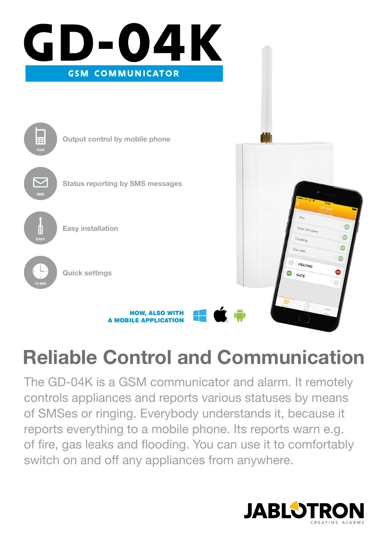

# **Reliable Control and Communication**

The GD-04K is a GSM communicator and alarm. It remotely controls appliances and reports various statuses by means of SMSes or ringing. Everybody understands it, because it reports everything to a mobile phone. Its reports warn e.g. of fire, gas leaks and flooding. You can use it to comfortably switch on and off any appliances from anywhere.

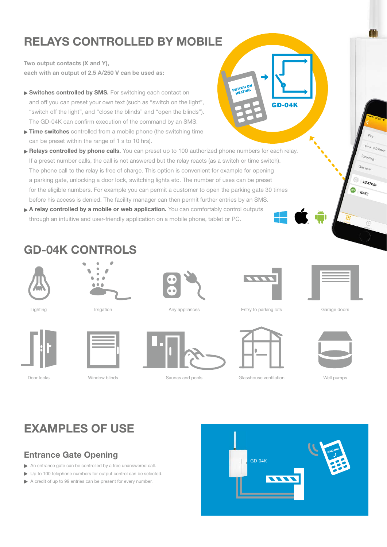# **RELAYS CONTROLLED BY MOBILE**

**Two output contacts (X and Y), each with an output of 2.5 A/250 V can be used as:**

- ▶ Switches controlled by SMS. For switching each contact on and off you can preset your own text (such as "switch on the light", "switch off the light", and "close the blinds" and "open the blinds"). The GD-04K can confirm execution of the command by an SMS.
- **► Time switches** controlled from a mobile phone (the switching time can be preset within the range of 1 s to 10 hrs).
- **Relays controlled by phone calls.** You can preset up to 100 authorized phone numbers for each relay. If a preset number calls, the call is not answered but the relay reacts (as a switch or time switch). The phone call to the relay is free of charge. This option is convenient for example for opening a parking gate, unlocking a door lock, switching lights etc. The number of uses can be preset for the eligible numbers. For example you can permit a customer to open the parking gate 30 times before his access is denied. The facility manager can then permit further entries by an SMS.
- ▶ A relay controlled by a mobile or web application. You can comfortably control outputs through an intuitive and user-friendly application on a mobile phone, tablet or PC.

### **GD-04K CONTROLS**



Door locks







Lighting **Irrigation Intervention** Any appliances



Window blinds **Saunas and pools** Glasshouse ventilation Well pumps



SWITCH ON

GD-04K

Entry to parking lots Garage doors





 $D_{\Omega_{\mathcal{O}_{\ell^*}}\ell}$  $\frac{1}{2}$  $2$ 

**HEATING** GATE



## **EXAMPLES OF USE**

### **Entrance Gate Opening**

- An entrance gate can be controlled by a free unanswered call.
- ▶ Up to 100 telephone numbers for output control can be selected.
- A credit of up to 99 entries can be present for every number.

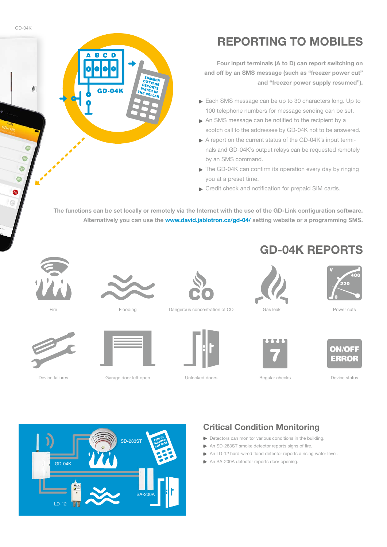**Four input terminals (A to D) can report switching on and off by an SMS message (such as "freezer power cut" and "freezer power supply resumed").**

- Each SMS message can be up to 30 characters long. Up to 100 telephone numbers for message sending can be set.
- An SMS message can be notified to the recipient by a scotch call to the addressee by GD-04K not to be answered.
- A report on the current status of the GD-04K's input terminals and GD-04K's output relays can be requested remotely by an SMS command.
- The GD-04K can confirm its operation every day by ringing you at a preset time.
- **Credit check and notification for prepaid SIM cards.**

The functions can be set locally or remotely via the Internet with the use of the GD-Link configuration software. **Alternatively you can use the www.david.jablotron.cz/gd-04/ setting website or a programming SMS.** 

Fire



**SUMMER** COTTAGE **REPORTS** WATER IN

GD-04K

**BCD** 



Device failures

LD-12



Garage door left open **Container Unlocked doors** Regular checks **Device status** Device status



Flooding **Dangerous concentration of CO** Gas leak



# **GD-04K REPORTS**





ON/OFF ERROR

Power cuts

*່*<br>220

 $\overline{AB}$ 

SD-283ST **FIRE IN FIREMER COTTAGE** GD-04K

SA-200A

### **Critical Condition Monitoring**

- Detectors can monitor various conditions in the building.
- $\triangleright$  An SD-283ST smoke detector reports signs of fire.
- $\triangleright$  An LD-12 hard-wired flood detector reports a rising water level.
- An SA-200A detector reports door opening.